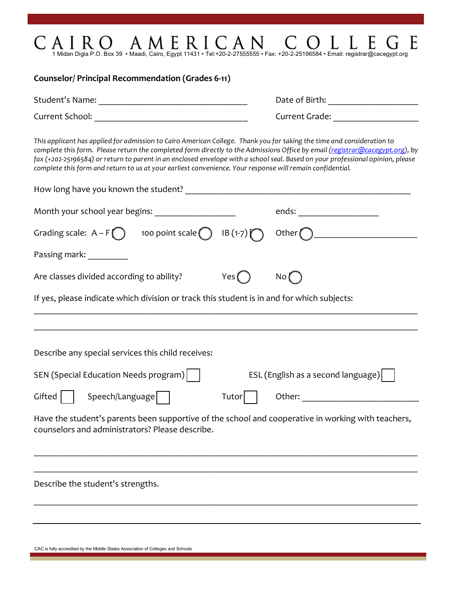| 1 Midan Digla P.O. Box 39 · Maadi, Cairo, Egypt 11431 · Tel:+20-2-27555555 · Fax: +20-2-25196584 · Email: registrar@cacegypt.org                                                                                                                                                                                                                                                                                                                                                                      |                                                                                                                |  |
|-------------------------------------------------------------------------------------------------------------------------------------------------------------------------------------------------------------------------------------------------------------------------------------------------------------------------------------------------------------------------------------------------------------------------------------------------------------------------------------------------------|----------------------------------------------------------------------------------------------------------------|--|
| Counselor/ Principal Recommendation (Grades 6-11)                                                                                                                                                                                                                                                                                                                                                                                                                                                     |                                                                                                                |  |
|                                                                                                                                                                                                                                                                                                                                                                                                                                                                                                       |                                                                                                                |  |
|                                                                                                                                                                                                                                                                                                                                                                                                                                                                                                       | Current Grade: <b>Example 2018</b>                                                                             |  |
| This applicant has applied for admission to Cairo American College. Thank you for taking the time and consideration to<br>complete this form. Please return the completed form directly to the Admissions Office by email (registrar@cacegypt.org), by<br>fax (+202-25196584) or return to parent in an enclosed envelope with a school seal. Based on your professional opinion, please<br>complete this form and return to us at your earliest convenience. Your response will remain confidential. |                                                                                                                |  |
|                                                                                                                                                                                                                                                                                                                                                                                                                                                                                                       |                                                                                                                |  |
| Month your school year begins: ____________________                                                                                                                                                                                                                                                                                                                                                                                                                                                   | ends: _______________________                                                                                  |  |
| Grading scale: $A - F$ 100 point scale $\bigcap$ IB (1-7)                                                                                                                                                                                                                                                                                                                                                                                                                                             |                                                                                                                |  |
| Passing mark:                                                                                                                                                                                                                                                                                                                                                                                                                                                                                         |                                                                                                                |  |
| Are classes divided according to ability?<br>Yes (                                                                                                                                                                                                                                                                                                                                                                                                                                                    | No (                                                                                                           |  |
| If yes, please indicate which division or track this student is in and for which subjects:                                                                                                                                                                                                                                                                                                                                                                                                            |                                                                                                                |  |
|                                                                                                                                                                                                                                                                                                                                                                                                                                                                                                       |                                                                                                                |  |
| Describe any special services this child receives:                                                                                                                                                                                                                                                                                                                                                                                                                                                    |                                                                                                                |  |
| SEN (Special Education Needs program)                                                                                                                                                                                                                                                                                                                                                                                                                                                                 | ESL (English as a second language)                                                                             |  |
| Speech/Language<br>Gifted<br>Tutor                                                                                                                                                                                                                                                                                                                                                                                                                                                                    | Other: and the contract of the contract of the contract of the contract of the contract of the contract of the |  |
| Have the student's parents been supportive of the school and cooperative in working with teachers,<br>counselors and administrators? Please describe.                                                                                                                                                                                                                                                                                                                                                 |                                                                                                                |  |
|                                                                                                                                                                                                                                                                                                                                                                                                                                                                                                       |                                                                                                                |  |
| Describe the student's strengths.                                                                                                                                                                                                                                                                                                                                                                                                                                                                     |                                                                                                                |  |
|                                                                                                                                                                                                                                                                                                                                                                                                                                                                                                       |                                                                                                                |  |
|                                                                                                                                                                                                                                                                                                                                                                                                                                                                                                       |                                                                                                                |  |

CAC is fully accredited by the Middle States Association of Colleges and Schools